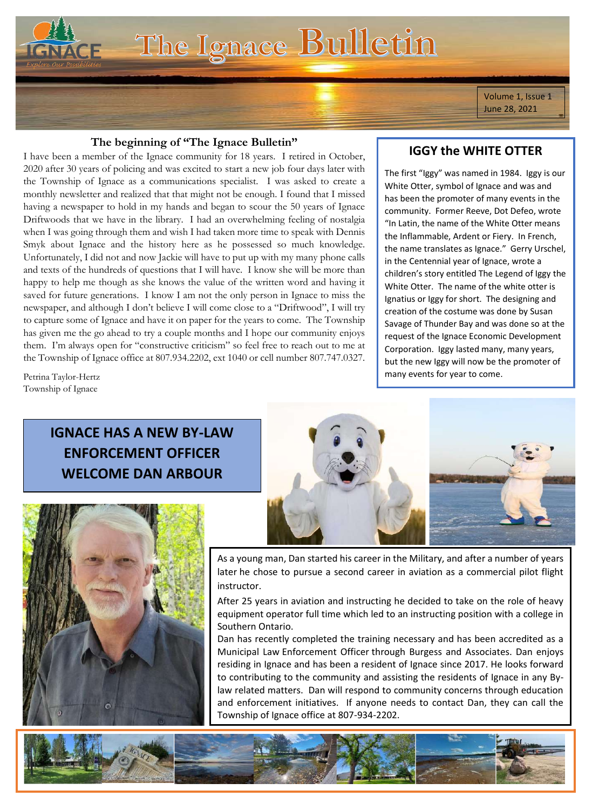The Ignace Bulletin

Volume 1, Issue 1 June 28, 2021

#### **The beginning of "The Ignace Bulletin"**

I have been a member of the Ignace community for 18 years. I retired in October, 2020 after 30 years of policing and was excited to start a new job four days later with the Township of Ignace as a communications specialist. I was asked to create a monthly newsletter and realized that that might not be enough. I found that I missed having a newspaper to hold in my hands and began to scour the 50 years of Ignace Driftwoods that we have in the library. I had an overwhelming feeling of nostalgia when I was going through them and wish I had taken more time to speak with Dennis Smyk about Ignace and the history here as he possessed so much knowledge. Unfortunately, I did not and now Jackie will have to put up with my many phone calls and texts of the hundreds of questions that I will have. I know she will be more than happy to help me though as she knows the value of the written word and having it saved for future generations. I know I am not the only person in Ignace to miss the newspaper, and although I don't believe I will come close to a "Driftwood", I will try to capture some of Ignace and have it on paper for the years to come. The Township has given me the go ahead to try a couple months and I hope our community enjoys them. I'm always open for "constructive criticism" so feel free to reach out to me at the Township of Ignace office at 807.934.2202, ext 1040 or cell number 807.747.0327.

## **IGGY the WHITE OTTER**

The first "Iggy" was named in 1984. Iggy is our White Otter, symbol of Ignace and was and has been the promoter of many events in the community. Former Reeve, Dot Defeo, wrote "In Latin, the name of the White Otter means the Inflammable, Ardent or Fiery. In French, the name translates as Ignace." Gerry Urschel, in the Centennial year of Ignace, wrote a children's story entitled The Legend of Iggy the White Otter. The name of the white otter is Ignatius or Iggy for short. The designing and creation of the costume was done by Susan Savage of Thunder Bay and was done so at the request of the Ignace Economic Development Corporation. Iggy lasted many, many years, but the new Iggy will now be the promoter of many events for year to come.

Petrina Taylor-Hertz Township of Ignace

## **IGNACE HAS A NEW BY-LAW ENFORCEMENT OFFICER WELCOME DAN ARBOUR**





As a young man, Dan started his career in the Military, and after a number of years later he chose to pursue a second career in aviation as a commercial pilot flight instructor.

After 25 years in aviation and instructing he decided to take on the role of heavy equipment operator full time which led to an instructing position with a college in Southern Ontario.

Dan has recently completed the training necessary and has been accredited as a Municipal Law Enforcement Officer through Burgess and Associates. Dan enjoys residing in Ignace and has been a resident of Ignace since 2017. He looks forward to contributing to the community and assisting the residents of Ignace in any Bylaw related matters. Dan will respond to community concerns through education and enforcement initiatives. If anyone needs to contact Dan, they can call the Township of Ignace office at 807-934-2202.

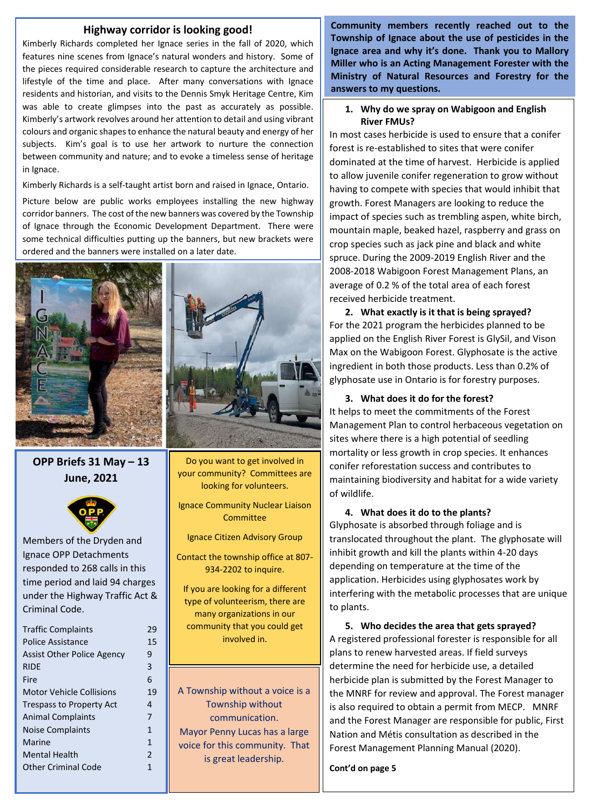#### **Highway corridor is looking good!**

Kimberly Richards completed her Ignace series in the fall of 2020, which features nine scenes from Ignace's natural wonders and history. Some of the pieces required considerable research to capture the architecture and lifestyle of the time and place. After many conversations with Ignace residents and historian, and visits to the Dennis Smyk Heritage Centre, Kim was able to create glimpses into the past as accurately as possible. Kimberly's artwork revolves around her attention to detail and using vibrant colours and organic shapes to enhance the natural beauty and energy of her subjects. Kim's goal is to use her artwork to nurture the connection between community and nature; and to evoke a timeless sense of heritage in Ignace.

Kimberly Richards is a self-taught artist born and raised in Ignace, Ontario.

Picture below are public works employees installing the new highway corridor banners. The cost of the new banners was covered by the Township of Ignace through the Economic Development Department. There were some technical difficulties putting up the banners, but new brackets were ordered and the banners were installed on a later date.



**OPP Briefs 31 May – 13 June, 2021**



Members of the Dryden and Ignace OPP Detachments responded to 268 calls in this time period and laid 94 charges under the Highway Traffic Act & Criminal Code.

| <b>Traffic Complaints</b>         | 29                      |
|-----------------------------------|-------------------------|
| Police Assistance                 | 15                      |
| <b>Assist Other Police Agency</b> | 9                       |
| <b>RIDE</b>                       | 3                       |
| Fire                              | 6                       |
| Motor Vehicle Collisions          | 19                      |
| <b>Trespass to Property Act</b>   | 4                       |
| <b>Animal Complaints</b>          | 7                       |
| <b>Noise Complaints</b>           | $\mathbf{1}$            |
| Marine                            | $\mathbf{1}$            |
| <b>Mental Health</b>              | $\overline{\mathbf{c}}$ |
| <b>Other Criminal Code</b>        | 1                       |
|                                   |                         |



Do you want to get involved in your community? Committees are looking for volunteers.

Ignace Community Nuclear Liaison **Committee** 

Ignace Citizen Advisory Group

Contact the township office at 807- 934-2202 to inquire.

If you are looking for a different type of volunteerism, there are many organizations in our community that you could get involved in.

A Township without a voice is a Township without communication. Mayor Penny Lucas has a large voice for this community. That is great leadership.

**Community members recently reached out to the Township of Ignace about the use of pesticides in the Ignace area and why it's done. Thank you to Mallory Miller who is an Acting Management Forester with the Ministry of Natural Resources and Forestry for the answers to my questions.**

#### **1. Why do we spray on Wabigoon and English River FMUs?**

received herbicide treatment. In most cases herbicide is used to ensure that a conifer forest is re-established to sites that were conifer dominated at the time of harvest. Herbicide is applied to allow juvenile conifer regeneration to grow without having to compete with species that would inhibit that growth. Forest Managers are looking to reduce the impact of species such as trembling aspen, white birch, mountain maple, beaked hazel, raspberry and grass on crop species such as jack pine and black and white spruce. During the 2009-2019 English River and the 2008-2018 Wabigoon Forest Management Plans, an average of 0.2 % of the total area of each forest

**2.** What exactly is it that is being sprayed? For the 2021 program the herbicides planned to be applied on the English River Forest is GlySil, and Vison events in the community. Max on the Wabigoon Forest. Glyphosate is the active  $\frac{1}{2}$   $\frac{1}{2}$   $\frac{1}{2}$   $\frac{1}{2}$   $\frac{1}{2}$   $\frac{1}{2}$   $\frac{1}{2}$   $\frac{1}{2}$   $\frac{1}{2}$   $\frac{1}{2}$   $\frac{1}{2}$   $\frac{1}{2}$   $\frac{1}{2}$   $\frac{1}{2}$   $\frac{1}{2}$   $\frac{1}{2}$   $\frac{1}{2}$   $\frac{1}{2}$   $\frac{1}{2}$   $\frac{1}{2}$   $\frac{1}{2}$   $\frac{1}{2}$  ingredient in both those products. Less than 0.2% of glyphosate use in Ontario is for forestry purposes.

#### **3.** What does it do for the forest?

It helps to meet the commitments of the Forest Management Plan to control herbaceous vegetation on sites where there is a high potential of seedling mortality or less growth in crop species. It enhances Legend of  $\mathcal{L}$  is the White Otter. conifer reforestation success and contributes to maintaining biodiversity and habitat for a wide variety of wildlife.

### **4.** What does it do to the plants?

Glyphosate is absorbed through foliage and is translocated throughout the plant. The glyphosate will inhibit growth and kill the plants within 4-20 days  $\frac{1}{2}$  is the many defined many  $\frac{1}{2}$ depending on temperature at the time of the application. Herbicides using glyphosates work by interfering with the metabolic processes that are unique to plants.

**5. Who decides the area that gets sprayed?** A registered professional forester is responsible for all plans to renew harvested areas. If field surveys determine the need for herbicide use, a detailed herbicide plan is submitted by the Forest Manager to the MNRF for review and approval. The Forest manager is also required to obtain a permit from MECP. MNRF and the Forest Manager are responsible for public, First Nation and Métis consultation as described in the Forest Management Planning Manual (2020).

**Cont'd on page 5**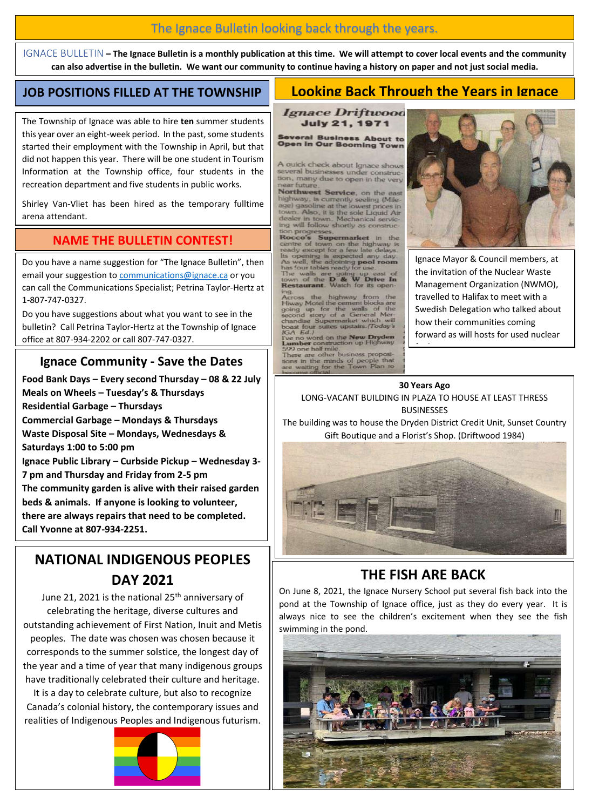## The Ignace Bulletin looking back through the years.

IGNACE BULLETIN **– The Ignace Bulletin is a monthly publication at this time. We will attempt to cover local events and the community can also advertise in the bulletin. We want our community to continue having a history on paper and not just social media.**

### **JOB POSITIONS FILLED AT THE TOWNSHIP**

## **Looking Back Through the Years in Ignace**

The Township of Ignace was able to hire **ten** summer students this year over an eight-week period. In the past, some students started their employment with the Township in April, but that did not happen this year. There will be one student in Tourism Information at the Township office, four students in the recreation department and five students in public works.

Shirley Van-Vliet has been hired as the temporary fulltime arena attendant.

## **NAME THE BULLETIN CONTEST!**

Do you have a name suggestion for "The Ignace Bulletin", then email your suggestion to [communications@ignace.ca](mailto:communications@ignace.ca) or you can call the Communications Specialist; Petrina Taylor-Hertz at 1-807-747-0327.

Do you have suggestions about what you want to see in the bulletin? Call Petrina Taylor-Hertz at the Township of Ignace office at 807-934-2202 or call 807-747-0327.

## **Ignace Community - Save the Dates**

**Food Bank Days – Every second Thursday – 08 & 22 July Meals on Wheels – Tuesday's & Thursdays Residential Garbage – Thursdays Commercial Garbage – Mondays & Thursdays Waste Disposal Site – Mondays, Wednesdays & Saturdays 1:00 to 5:00 pm Ignace Public Library – Curbside Pickup – Wednesday 3- 7 pm and Thursday and Friday from 2-5 pm The community garden is alive with their raised garden beds & animals. If anyone is looking to volunteer, there are always repairs that need to be completed. Call Yvonne at 807-934-2251.**

## **NATIONAL INDIGENOUS PEOPLES DAY 2021**

June 21, 2021 is the national 25<sup>th</sup> anniversary of celebrating the heritage, diverse cultures and outstanding achievement of First Nation, Inuit and Metis peoples. The date was chosen was chosen because it corresponds to the summer solstice, the longest day of the year and a time of year that many indigenous groups have traditionally celebrated their culture and heritage.

It is a day to celebrate culture, but also to recognize Canada's colonial history, the contemporary issues and realities of Indigenous Peoples and Indigenous futurism.



**Ignace Driftwood July 21, 1971** 

**Several Business About to<br>Open in Our Booming Town** 

A quick check about Ignace shows several businesses under co tion, many due to open in the very ear future

Northwest Service, on the highway, is currently seeling (Mile-<br>age) gasoline at the lowest prices in town. Also, it is the sole Liquid Air<br>dealer in town. Mechanical servicing will follow shortly as construction progres

**Supermarket Rocco's Supermarket** in the<br>centre of town on the highway is<br>ready except for a few late delays.<br>Its opening is expected any day.<br>has four tables ready for use.<br>The walls are going up east of

has four tables going up east of<br>& W Drive In town of the D & W Drive<br>Restaurant. Watch for its ope

ing.<br>Across the highway from the<br>Hiway Motel the cement blocks are<br>going up for the walls of the<br>second story of a General Mer-<br>chandise Supermarket which will<br>locat four suites upstairs. (Today's<br>R.A. Ed.)

IGA- Ed. 1<br>The no word on the **New Dryd**<br>**Lumber** construction up Highw<br>599 one half mile.<br>There are other business propo

tions in the minds of people that<br>are waiting for the Town Plan to



Ignace Mayor & Council members, at the invitation of the Nuclear Waste Management Organization (NWMO), travelled to Halifax to meet with a Swedish Delegation who talked about how their communities coming forward as will hosts for used nuclear

#### **30 Years Ago**

 $\frac{f(x)}{f(x)}$ 

LONG-VACANT BUILDING IN PLAZA TO HOUSE AT LEAST THRESS BUSINESSES

The building was to house the Dryden District Credit Unit, Sunset Country Gift Boutique and a Florist's Shop. (Driftwood 1984)



## **THE FISH ARE BACK**

On June 8, 2021, the Ignace Nursery School put several fish back into the pond at the Township of Ignace office, just as they do every year. It is always nice to see the children's excitement when they see the fish swimming in the pond.

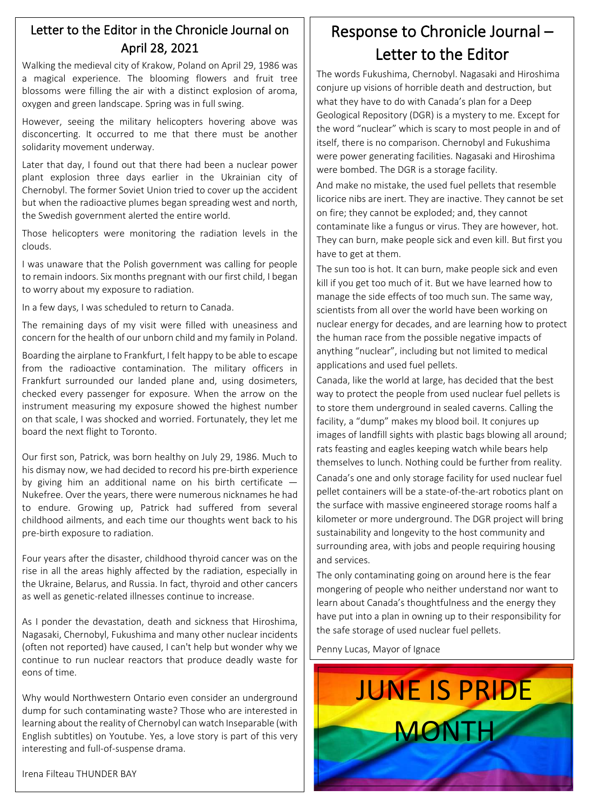## Letter to the Editor in the Chronicle Journal on April 28, 2021

Walking the medieval city of Krakow, Poland on April 29, 1986 was a magical experience. The blooming flowers and fruit tree blossoms were filling the air with a distinct explosion of aroma, oxygen and green landscape. Spring was in full swing.

However, seeing the military helicopters hovering above was disconcerting. It occurred to me that there must be another solidarity movement underway.

Later that day, I found out that there had been a nuclear power plant explosion three days earlier in the Ukrainian city of Chernobyl. The former Soviet Union tried to cover up the accident but when the radioactive plumes began spreading west and north, the Swedish government alerted the entire world.

Those helicopters were monitoring the radiation levels in the clouds.

I was unaware that the Polish government was calling for people to remain indoors. Six months pregnant with our first child, I began to worry about my exposure to radiation.

In a few days, I was scheduled to return to Canada.

The remaining days of my visit were filled with uneasiness and concern for the health of our unborn child and my family in Poland.

Boarding the airplane to Frankfurt, I felt happy to be able to escape from the radioactive contamination. The military officers in Frankfurt surrounded our landed plane and, using dosimeters, checked every passenger for exposure. When the arrow on the instrument measuring my exposure showed the highest number on that scale, I was shocked and worried. Fortunately, they let me board the next flight to Toronto.

Our first son, Patrick, was born healthy on July 29, 1986. Much to his dismay now, we had decided to record his pre-birth experience by giving him an additional name on his birth certificate  $-$ Nukefree. Over the years, there were numerous nicknames he had to endure. Growing up, Patrick had suffered from several childhood ailments, and each time our thoughts went back to his pre-birth exposure to radiation.

Four years after the disaster, childhood thyroid cancer was on the rise in all the areas highly affected by the radiation, especially in the Ukraine, Belarus, and Russia. In fact, thyroid and other cancers as well as genetic-related illnesses continue to increase.

As I ponder the devastation, death and sickness that Hiroshima, Nagasaki, Chernobyl, Fukushima and many other nuclear incidents (often not reported) have caused, I can't help but wonder why we continue to run nuclear reactors that produce deadly waste for eons of time.

Why would Northwestern Ontario even consider an underground dump for such contaminating waste? Those who are interested in learning about the reality of Chernobyl can watch Inseparable (with English subtitles) on Youtube. Yes, a love story is part of this very interesting and full-of-suspense drama.

Response to Chronicle Journal – Letter to the Editor

The words Fukushima, Chernobyl. Nagasaki and Hiroshima conjure up visions of horrible death and destruction, but what they have to do with Canada's plan for a Deep Geological Repository (DGR) is a mystery to me. Except for the word "nuclear" which is scary to most people in and of itself, there is no comparison. Chernobyl and Fukushima were power generating facilities. Nagasaki and Hiroshima were bombed. The DGR is a storage facility.

And make no mistake, the used fuel pellets that resemble licorice nibs are inert. They are inactive. They cannot be set on fire; they cannot be exploded; and, they cannot contaminate like a fungus or virus. They are however, hot. They can burn, make people sick and even kill. But first you have to get at them.

The sun too is hot. It can burn, make people sick and even kill if you get too much of it. But we have learned how to manage the side effects of too much sun. The same way, scientists from all over the world have been working on nuclear energy for decades, and are learning how to protect the human race from the possible negative impacts of anything "nuclear", including but not limited to medical applications and used fuel pellets.

Canada, like the world at large, has decided that the best way to protect the people from used nuclear fuel pellets is to store them underground in sealed caverns. Calling the facility, a "dump" makes my blood boil. It conjures up images of landfill sights with plastic bags blowing all around; rats feasting and eagles keeping watch while bears help themselves to lunch. Nothing could be further from reality. Canada's one and only storage facility for used nuclear fuel pellet containers will be a state-of-the-art robotics plant on the surface with massive engineered storage rooms half a kilometer or more underground. The DGR project will bring sustainability and longevity to the host community and surrounding area, with jobs and people requiring housing and services.

The only contaminating going on around here is the fear mongering of people who neither understand nor want to learn about Canada's thoughtfulness and the energy they have put into a plan in owning up to their responsibility for the safe storage of used nuclear fuel pellets.

Penny Lucas, Mayor of Ignace



Irena Filteau THUNDER BAY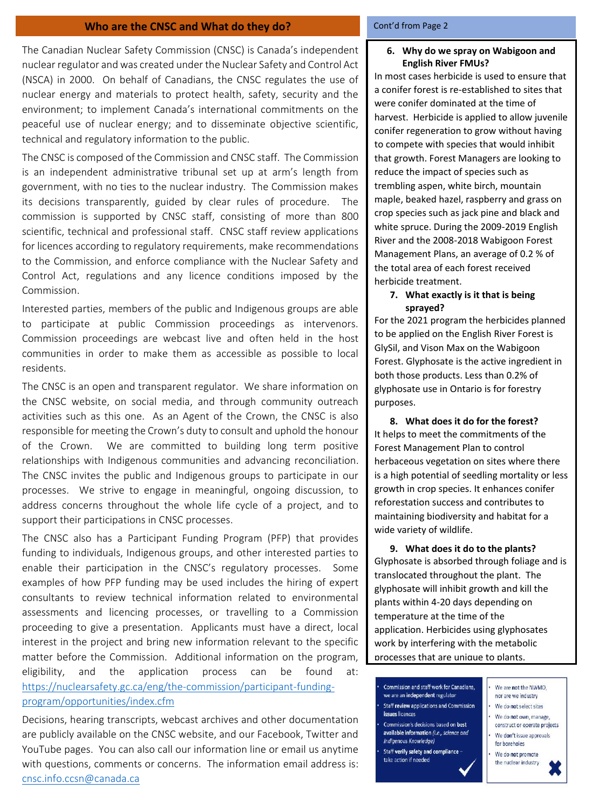#### **Who are the CNSC and What do they do?**

The Canadian Nuclear Safety Commission (CNSC) is Canada's independent nuclear regulator and was created under the Nuclear Safety and Control Act (NSCA) in 2000. On behalf of Canadians, the CNSC regulates the use of nuclear energy and materials to protect health, safety, security and the environment; to implement Canada's international commitments on the peaceful use of nuclear energy; and to disseminate objective scientific, technical and regulatory information to the public.

The CNSC is composed of the Commission and CNSC staff. The Commission is an independent administrative tribunal set up at arm's length from government, with no ties to the nuclear industry. The Commission makes its decisions transparently, guided by clear rules of procedure. The commission is supported by CNSC staff, consisting of more than 800 scientific, technical and professional staff. CNSC staff review applications for licences according to regulatory requirements, make recommendations to the Commission, and enforce compliance with the Nuclear Safety and Control Act, regulations and any licence conditions imposed by the Commission.

Interested parties, members of the public and Indigenous groups are able to participate at public Commission proceedings as intervenors. Commission proceedings are webcast live and often held in the host communities in order to make them as accessible as possible to local residents.

The CNSC is an open and transparent regulator. We share information on the CNSC website, on social media, and through community outreach activities such as this one. As an Agent of the Crown, the CNSC is also responsible for meeting the Crown's duty to consult and uphold the honour of the Crown. We are committed to building long term positive relationships with Indigenous communities and advancing reconciliation. The CNSC invites the public and Indigenous groups to participate in our processes. We strive to engage in meaningful, ongoing discussion, to address concerns throughout the whole life cycle of a project, and to support their participations in CNSC processes.

The CNSC also has a Participant Funding Program (PFP) that provides funding to individuals, Indigenous groups, and other interested parties to enable their participation in the CNSC's regulatory processes. Some examples of how PFP funding may be used includes the hiring of expert consultants to review technical information related to environmental assessments and licencing processes, or travelling to a Commission proceeding to give a presentation. Applicants must have a direct, local interest in the project and bring new information relevant to the specific matter before the Commission. Additional information on the program, eligibility, and the application process can be found at: [https://nuclearsafety.gc.ca/eng/the-commission/participant-funding](https://nuclearsafety.gc.ca/eng/the-commission/participant-funding-program/opportunities/index.cfm)[program/opportunities/index.cfm](https://nuclearsafety.gc.ca/eng/the-commission/participant-funding-program/opportunities/index.cfm)

Decisions, hearing transcripts, webcast archives and other documentation are publicly available on the CNSC website, and our Facebook, Twitter and YouTube pages. You can also call our information line or email us anytime with questions, comments or concerns. The information email address is: [cnsc.info.ccsn@canada.ca](mailto:cnsc.info.ccsn@canada.ca)

#### Cont'd from Page 2

#### **6. Why do we spray on Wabigoon and English River FMUs?**

In most cases herbicide is used to ensure that a conifer forest is re-established to sites that were conifer dominated at the time of harvest. Herbicide is applied to allow juvenile conifer regeneration to grow without having to compete with species that would inhibit that growth. Forest Managers are looking to reduce the impact of species such as trembling aspen, white birch, mountain maple, beaked hazel, raspberry and grass on crop species such as jack pine and black and white spruce. During the 2009-2019 English River and the 2008-2018 Wabigoon Forest Management Plans, an average of 0.2 % of the total area of each forest received herbicide treatment.

#### **7. What exactly is it that is being sprayed?**

For the 2021 program the herbicides planned to be applied on the English River Forest is GlySil, and Vison Max on the Wabigoon Forest. Glyphosate is the active ingredient in both those products. Less than 0.2% of glyphosate use in Ontario is for forestry purposes.

**8. What does it do for the forest?** It helps to meet the commitments of the Forest Management Plan to control herbaceous vegetation on sites where there is a high potential of seedling mortality or less growth in crop species. It enhances conifer reforestation success and contributes to maintaining biodiversity and habitat for a wide variety of wildlife.

**9. What does it do to the plants?** Glyphosate is absorbed through foliage and is translocated throughout the plant. The glyphosate will inhibit growth and kill the plants within 4-20 days depending on temperature at the time of the application. Herbicides using glyphosates work by interfering with the metabolic processes that are unique to plants.

- Commission and staff work for Canadians. we are an independent regulator **Staff review applications and Commission** issues licences Commission's decisions based on best available information (i.e., science and Indigenous Knowledge) for boreholes Staff verify safety and compliance take action if needed
	- We are not the NWMO. nor are we industry We do not select sites
	- We do not own, manage. construct or operate projects We don't issue approvals
	- We do not promote
	- the nuclear industry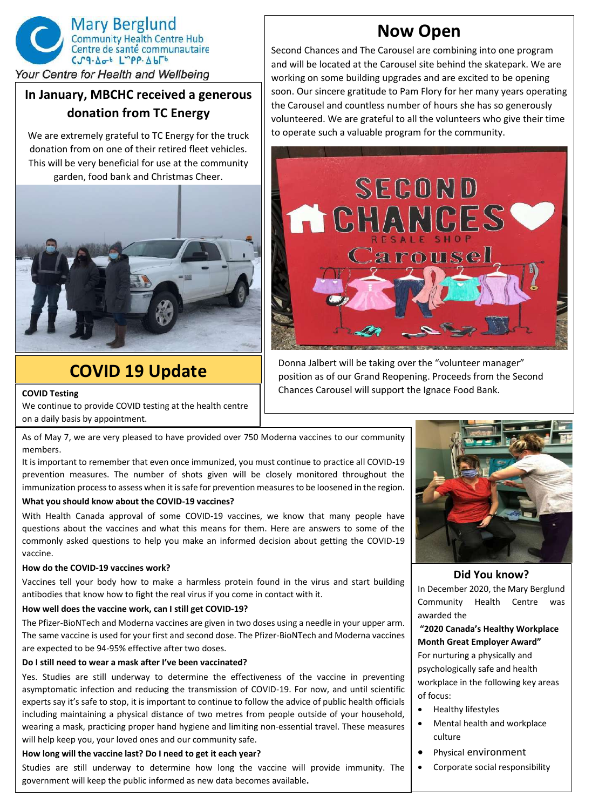

## Your Centre for Health and Wellbeing

## **In January, MBCHC received a generous donation from TC Energy**

We are extremely grateful to TC Energy for the truck donation from on one of their retired fleet vehicles. This will be very beneficial for use at the community garden, food bank and Christmas Cheer.



# **COVID 19 Update**

**COVID Testing**

We continue to provide COVID testing at the health centre on a daily basis by appointment.

As of May 7, we are very pleased to have provided over 750 Moderna vaccines to our community members.

It is important to remember that even once immunized, you must continue to practice all COVID-19 prevention measures. The number of shots given will be closely monitored throughout the immunization process to assess when it is safe for prevention measures to be loosened in the region.

#### **What you should know about the COVID-19 vaccines?**

With Health Canada approval of some COVID-19 vaccines, we know that many people have questions about the vaccines and what this means for them. Here are answers to some of the commonly asked questions to help you make an informed decision about getting the COVID-19 vaccine.

#### **How do the COVID-19 vaccines work?**

Vaccines tell your body how to make a harmless protein found in the virus and start building antibodies that know how to fight the real virus if you come in contact with it.

### **How well does the vaccine work, can I still get COVID-19?**

The Pfizer-BioNTech and Moderna vaccines are given in two doses using a needle in your upper arm. The same vaccine is used for your first and second dose. The Pfizer-BioNTech and Moderna vaccines are expected to be 94-95% effective after two doses.

### **Do I still need to wear a mask after I've been vaccinated?**

Yes. Studies are still underway to determine the effectiveness of the vaccine in preventing asymptomatic infection and reducing the transmission of COVID-19. For now, and until scientific experts say it's safe to stop, it is important to continue to follow the advice of public health officials including maintaining a physical distance of two metres from people outside of your household, wearing a mask, practicing proper hand hygiene and limiting non-essential travel. These measures will help keep you, your loved ones and our community safe.

### **How long will the vaccine last? Do I need to get it each year?**

Studies are still underway to determine how long the vaccine will provide immunity. The government will keep the public informed as new data becomes available**.**

## **Now Open**

Second Chances and The Carousel are combining into one program and will be located at the Carousel site behind the skatepark. We are working on some building upgrades and are excited to be opening soon. Our sincere gratitude to Pam Flory for her many years operating the Carousel and countless number of hours she has so generously volunteered. We are grateful to all the volunteers who give their time to operate such a valuable program for the community.



Donna Jalbert will be taking over the "volunteer manager" position as of our Grand Reopening. Proceeds from the Second Chances Carousel will support the Ignace Food Bank.



#### **Did You know?**

In December 2020, the Mary Berglund Community Health Centre was awarded the

#### **"2020 Canada's Healthy Workplace Month Great Employer Award"**

For nurturing a physically and psychologically safe and health workplace in the following key areas of focus:

- Healthy lifestyles
- Mental health and workplace culture
- Physical environment
- Corporate social responsibility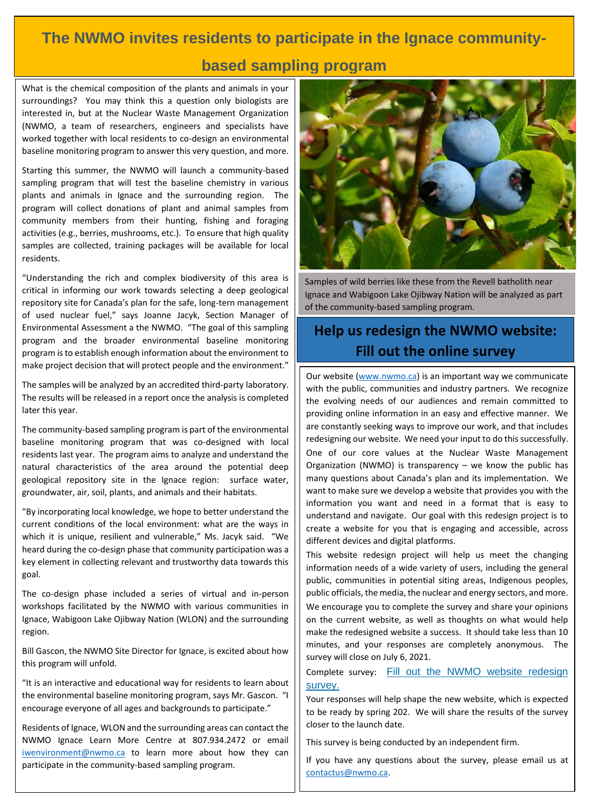# **The NWMO invites residents to participate in the Ignace community-**

## **based sampling program**

What is the chemical composition of the plants and animals in your surroundings? You may think this a question only biologists are interested in, but at the Nuclear Waste Management Organization (NWMO, a team of researchers, engineers and specialists have worked together with local residents to co-design an environmental baseline monitoring program to answer this very question, and more.

Starting this summer, the NWMO will launch a community-based sampling program that will test the baseline chemistry in various plants and animals in Ignace and the surrounding region. The program will collect donations of plant and animal samples from community members from their hunting, fishing and foraging activities (e.g., berries, mushrooms, etc.). To ensure that high quality samples are collected, training packages will be available for local residents.

"Understanding the rich and complex biodiversity of this area is critical in informing our work towards selecting a deep geological repository site for Canada's plan for the safe, long-tern management of used nuclear fuel," says Joanne Jacyk, Section Manager of Environmental Assessment a the NWMO. "The goal of this sampling program and the broader environmental baseline monitoring program is to establish enough information about the environment to make project decision that will protect people and the environment."

The samples will be analyzed by an accredited third-party laboratory. The results will be released in a report once the analysis is completed later this year.

The community-based sampling program is part of the environmental baseline monitoring program that was co-designed with local residents last year. The program aims to analyze and understand the natural characteristics of the area around the potential deep geological repository site in the Ignace region: surface water, groundwater, air, soil, plants, and animals and their habitats.

"By incorporating local knowledge, we hope to better understand the current conditions of the local environment: what are the ways in which it is unique, resilient and vulnerable," Ms. Jacyk said. "We heard during the co-design phase that community participation was a key element in collecting relevant and trustworthy data towards this goal.

The co-design phase included a series of virtual and in-person workshops facilitated by the NWMO with various communities in Ignace, Wabigoon Lake Ojibway Nation (WLON) and the surrounding region.

Bill Gascon, the NWMO Site Director for Ignace, is excited about how this program will unfold.

"It is an interactive and educational way for residents to learn about the environmental baseline monitoring program, says Mr. Gascon. "I encourage everyone of all ages and backgrounds to participate."

Residents of Ignace, WLON and the surrounding areas can contact the NWMO Ignace Learn More Centre at 807.934.2472 or email [iwenvironment@nwmo.ca](mailto:iwenvironment@nwmo.ca) to learn more about how they can participate in the community-based sampling program.



Samples of wild berries like these from the Revell batholith near Ignace and Wabigoon Lake Ojibway Nation will be analyzed as part of the community-based sampling program.

## **Help us redesign the NWMO website: Fill out the online survey**

Our website [\(www.nwmo.ca\)](http://www.nwmo.ca/) is an important way we communicate with the public, communities and industry partners. We recognize the evolving needs of our audiences and remain committed to providing online information in an easy and effective manner. We are constantly seeking ways to improve our work, and that includes redesigning our website. We need your input to do this successfully. One of our core values at the Nuclear Waste Management Organization (NWMO) is transparency – we know the public has many questions about Canada's plan and its implementation. We want to make sure we develop a website that provides you with the information you want and need in a format that is easy to understand and navigate. Our goal with this redesign project is to create a website for you that is engaging and accessible, across different devices and digital platforms.

This website redesign project will help us meet the changing information needs of a wide variety of users, including the general public, communities in potential siting areas, Indigenous peoples, public officials, the media, the nuclear and energy sectors, and more. We encourage you to complete the survey and share your opinions on the current website, as well as thoughts on what would help make the redesigned website a success. It should take less than 10 minutes, and your responses are completely anonymous. The survey will close on July 6, 2021.

Complete survey: [Fill out the NWMO website redesign](https://survey.alchemer-ca.com/s3/50117209/4ddfe0c8c53faudiences-EN)  [survey.](https://survey.alchemer-ca.com/s3/50117209/4ddfe0c8c53faudiences-EN)

Your responses will help shape the new website, which is expected to be ready by spring 202. We will share the results of the survey closer to the launch date.

This survey is being conducted by an independent firm.

If you have any questions about the survey, please email us at [contactus@nwmo.ca.](mailto:contactus@nwmo.ca)